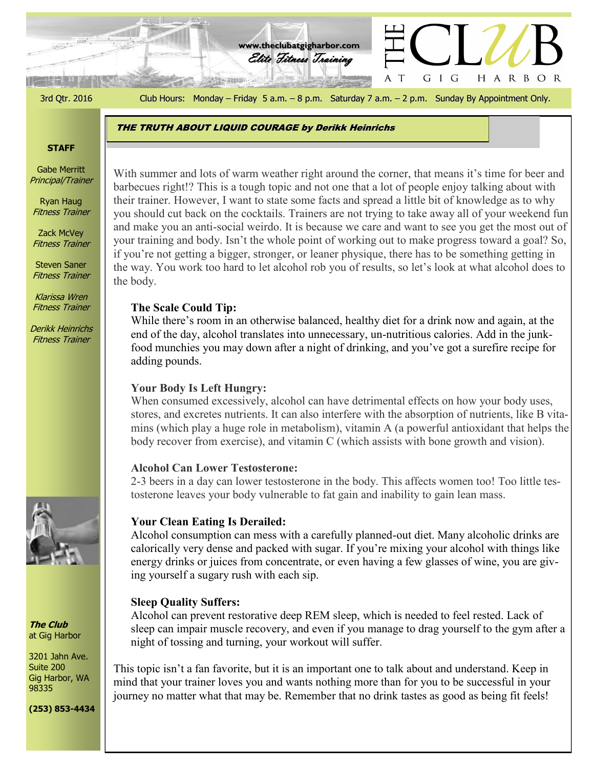3rd Qtr. 2016 Club Hours: Monday – Friday 5 a.m. – 8 p.m. Saturday 7 a.m. – 2 p.m. Sunday By Appointment Only.

GIG

 $\top$ 

HARBOR

Elite Fitness Training **www.theclubatgigharbor.com**

THE TRUTH ABOUT LIQUID COURAGE by Derikk Heinrichs

#### **STAFF**

Gabe Merritt Principal/Trainer

Ryan Haug Fitness Trainer

Zack McVey Fitness Trainer

Steven Saner Fitness Trainer

Klarissa Wren Fitness Trainer

Derikk Heinrichs Fitness Trainer



**The Club** at Gig Harbor

3201 Jahn Ave. Suite 200 Gig Harbor, WA 98335

**(253) 853-4434**

barbecues right!? This is a tough topic and not one that a lot of people enjoy talking about with With summer and lots of warm weather right around the corner, that means it's time for beer and their trainer. However, I want to state some facts and spread a little bit of knowledge as to why you should cut back on the cocktails. Trainers are not trying to take away all of your weekend fun and make you an anti-social weirdo. It is because we care and want to see you get the most out of your training and body. Isn't the whole point of working out to make progress toward a goal? So, if you're not getting a bigger, stronger, or leaner physique, there has to be something getting in the way. You work too hard to let alcohol rob you of results, so let's look at what alcohol does to the body.

## **The Scale Could Tip:**

While there's room in an otherwise balanced, healthy diet for a drink now and again, at the end of the day, alcohol translates into unnecessary, un-nutritious calories. Add in the junkfood munchies you may down after a night of drinking, and you've got a surefire recipe for adding pounds.

## **Your Body Is Left Hungry:**

When consumed excessively, alcohol can have detrimental effects on how your body uses, stores, and excretes nutrients. It can also interfere with the absorption of nutrients, like B vitamins (which play a huge role in metabolism), vitamin A (a powerful antioxidant that helps the body recover from exercise), and vitamin C (which assists with bone growth and vision).

### **Alcohol Can Lower Testosterone:**

2-3 beers in a day can lower testosterone in the body. This affects women too! Too little testosterone leaves your body vulnerable to fat gain and inability to gain lean mass.

### **Your Clean Eating Is Derailed:**

Alcohol consumption can mess with a carefully planned-out diet. Many alcoholic drinks are calorically very dense and packed with sugar. If you're mixing your alcohol with things like energy drinks or juices from concentrate, or even having a few glasses of wine, you are giving yourself a sugary rush with each sip.

## **Sleep Quality Suffers:**

Alcohol can prevent restorative deep REM sleep, which is needed to feel rested. Lack of sleep can impair muscle recovery, and even if you manage to drag yourself to the gym after a night of tossing and turning, your workout will suffer.

This topic isn't a fan favorite, but it is an important one to talk about and understand. Keep in mind that your trainer loves you and wants nothing more than for you to be successful in your journey no matter what that may be. Remember that no drink tastes as good as being fit feels!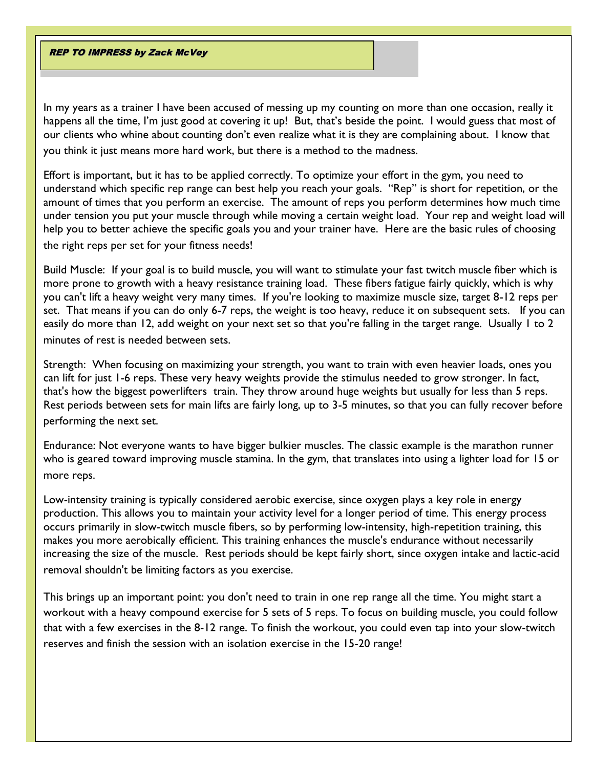**REP TO IMPRESS by Zack McVey** 

In my years as a trainer I have been accused of messing up my counting on more than one occasion, really it happens all the time, I'm just good at covering it up! But, that's beside the point. I would guess that most of our clients who whine about counting don't even realize what it is they are complaining about. I know that you think it just means more hard work, but there is a method to the madness.

Effort is important, but it has to be applied correctly. To optimize your effort in the gym, you need to understand which specific rep range can best help you reach your goals. "Rep" is short for repetition, or the amount of times that you perform an exercise. The amount of reps you perform determines how much time under tension you put your muscle through while moving a certain weight load. Your rep and weight load will help you to better achieve the specific goals you and your trainer have. Here are the basic rules of choosing the right reps per set for your fitness needs!

Build Muscle: If your goal is to build muscle, you will want to stimulate your fast twitch muscle fiber which is more prone to growth with a heavy resistance training load. These fibers fatigue fairly quickly, which is why you can't lift a heavy weight very many times. If you're looking to maximize muscle size, target 8-12 reps per set. That means if you can do only 6-7 reps, the weight is too heavy, reduce it on subsequent sets. If you can easily do more than 12, add weight on your next set so that you're falling in the target range. Usually 1 to 2 minutes of rest is needed between sets.

Strength: When focusing on maximizing your strength, you want to train with even heavier loads, ones you can lift for just 1-6 reps. These very heavy weights provide the stimulus needed to grow stronger. In fact, that's how the biggest powerlifters train. They throw around huge weights but usually for less than 5 reps. Rest periods between sets for main lifts are fairly long, up to 3-5 minutes, so that you can fully recover before performing the next set.

Endurance: Not everyone wants to have bigger bulkier muscles. The classic example is the marathon runner who is geared toward improving muscle stamina. In the gym, that translates into using a lighter load for 15 or more reps.

Low-intensity training is typically considered aerobic exercise, since oxygen plays a key role in energy production. This allows you to maintain your activity level for a longer period of time. This energy process occurs primarily in slow-twitch muscle fibers, so by performing low-intensity, high-repetition training, this makes you more aerobically efficient. This training enhances the muscle's endurance without necessarily increasing the size of the muscle. Rest periods should be kept fairly short, since oxygen intake and lactic-acid removal shouldn't be limiting factors as you exercise.

This brings up an important point: you don't need to train in one rep range all the time. You might start a workout with a heavy compound exercise for 5 sets of 5 reps. To focus on building muscle, you could follow that with a few exercises in the 8-12 range. To finish the workout, you could even tap into your slow-twitch reserves and finish the session with an isolation exercise in the 15-20 range!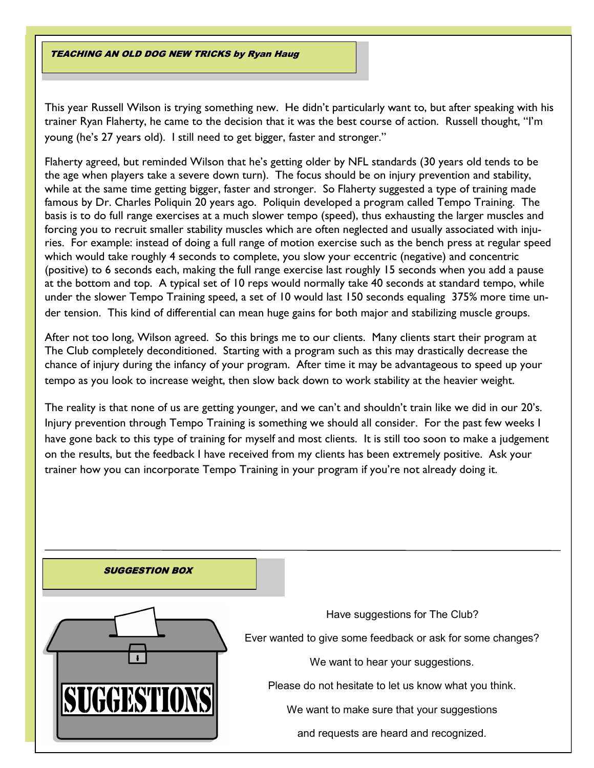TEACHING AN OLD DOG NEW TRICKS by Ryan Haug

This year Russell Wilson is trying something new. He didn't particularly want to, but after speaking with his trainer Ryan Flaherty, he came to the decision that it was the best course of action. Russell thought, "I'm young (he's 27 years old). I still need to get bigger, faster and stronger."

Flaherty agreed, but reminded Wilson that he's getting older by NFL standards (30 years old tends to be the age when players take a severe down turn). The focus should be on injury prevention and stability, while at the same time getting bigger, faster and stronger. So Flaherty suggested a type of training made famous by Dr. Charles Poliquin 20 years ago. Poliquin developed a program called Tempo Training. The basis is to do full range exercises at a much slower tempo (speed), thus exhausting the larger muscles and forcing you to recruit smaller stability muscles which are often neglected and usually associated with injuries. For example: instead of doing a full range of motion exercise such as the bench press at regular speed which would take roughly 4 seconds to complete, you slow your eccentric (negative) and concentric (positive) to 6 seconds each, making the full range exercise last roughly 15 seconds when you add a pause at the bottom and top. A typical set of 10 reps would normally take 40 seconds at standard tempo, while under the slower Tempo Training speed, a set of 10 would last 150 seconds equaling 375% more time under tension. This kind of differential can mean huge gains for both major and stabilizing muscle groups.

After not too long, Wilson agreed. So this brings me to our clients. Many clients start their program at The Club completely deconditioned. Starting with a program such as this may drastically decrease the chance of injury during the infancy of your program. After time it may be advantageous to speed up your tempo as you look to increase weight, then slow back down to work stability at the heavier weight.

The reality is that none of us are getting younger, and we can't and shouldn't train like we did in our 20's. Injury prevention through Tempo Training is something we should all consider. For the past few weeks I have gone back to this type of training for myself and most clients. It is still too soon to make a judgement on the results, but the feedback I have received from my clients has been extremely positive. Ask your trainer how you can incorporate Tempo Training in your program if you're not already doing it.

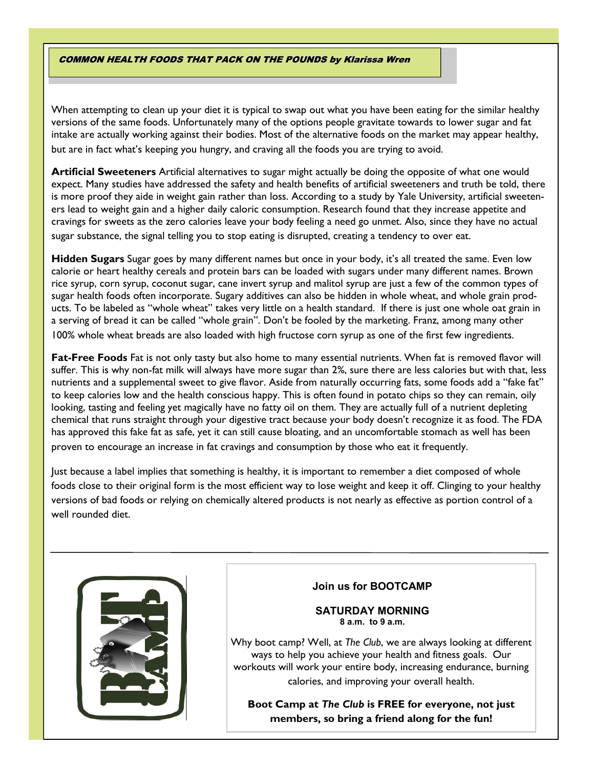### COMMON HEALTH FOODS THAT PACK ON THE POUNDS by Klarissa Wren

When attempting to clean up your diet it is typical to swap out what you have been eating for the similar healthy versions of the same foods. Unfortunately many of the options people gravitate towards to lower sugar and fat intake are actually working against their bodies. Most of the alternative foods on the market may appear healthy, but are in fact what's keeping you hungry, and craving all the foods you are trying to avoid.

**Artificial Sweeteners** Artificial alternatives to sugar might actually be doing the opposite of what one would expect. Many studies have addressed the safety and health benefits of artificial sweeteners and truth be told, there is more proof they aide in weight gain rather than loss. According to a study by Yale University, artificial sweeteners lead to weight gain and a higher daily caloric consumption. Research found that they increase appetite and cravings for sweets as the zero calories leave your body feeling a need go unmet. Also, since they have no actual sugar substance, the signal telling you to stop eating is disrupted, creating a tendency to over eat.

**Hidden Sugars** Sugar goes by many different names but once in your body, it's all treated the same. Even low calorie or heart healthy cereals and protein bars can be loaded with sugars under many different names. Brown rice syrup, corn syrup, coconut sugar, cane invert syrup and malitol syrup are just a few of the common types of sugar health foods often incorporate. Sugary additives can also be hidden in whole wheat, and whole grain products. To be labeled as "whole wheat" takes very little on a health standard. If there is just one whole oat grain in a serving of bread it can be called "whole grain". Don't be fooled by the marketing. Franz, among many other 100% whole wheat breads are also loaded with high fructose corn syrup as one of the first few ingredients.

**Fat-Free Foods** Fat is not only tasty but also home to many essential nutrients. When fat is removed flavor will suffer. This is why non-fat milk will always have more sugar than 2%, sure there are less calories but with that, less nutrients and a supplemental sweet to give flavor. Aside from naturally occurring fats, some foods add a "fake fat" to keep calories low and the health conscious happy. This is often found in potato chips so they can remain, oily looking, tasting and feeling yet magically have no fatty oil on them. They are actually full of a nutrient depleting chemical that runs straight through your digestive tract because your body doesn't recognize it as food. The FDA has approved this fake fat as safe, yet it can still cause bloating, and an uncomfortable stomach as well has been proven to encourage an increase in fat cravings and consumption by those who eat it frequently.

Just because a label implies that something is healthy, it is important to remember a diet composed of whole foods close to their original form is the most efficient way to lose weight and keep it off. Clinging to your healthy versions of bad foods or relying on chemically altered products is not nearly as effective as portion control of a well rounded diet.



### **Join us for BOOTCAMP**

**SATURDAY MORNING 8 a.m. to 9 a.m.**

Why boot camp? Well, at *The Club*, we are always looking at different ways to help you achieve your health and fitness goals. Our workouts will work your entire body, increasing endurance, burning calories, and improving your overall health.

**Boot Camp at** *The Club* **is FREE for everyone, not just members, so bring a friend along for the fun!**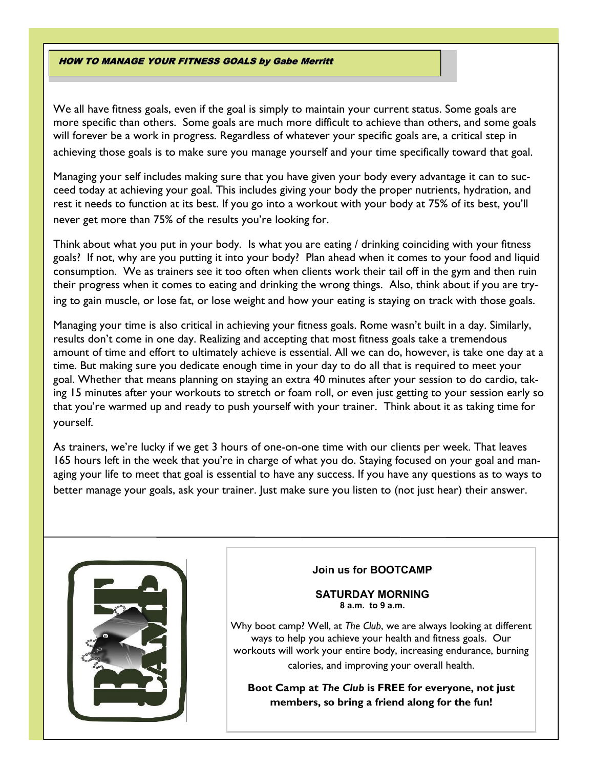#### HOW TO MANAGE YOUR FITNESS GOALS by Gabe Merritt

We all have fitness goals, even if the goal is simply to maintain your current status. Some goals are more specific than others. Some goals are much more difficult to achieve than others, and some goals will forever be a work in progress. Regardless of whatever your specific goals are, a critical step in achieving those goals is to make sure you manage yourself and your time specifically toward that goal.

Managing your self includes making sure that you have given your body every advantage it can to succeed today at achieving your goal. This includes giving your body the proper nutrients, hydration, and rest it needs to function at its best. If you go into a workout with your body at 75% of its best, you'll never get more than 75% of the results you're looking for.

Think about what you put in your body. Is what you are eating / drinking coinciding with your fitness goals? If not, why are you putting it into your body? Plan ahead when it comes to your food and liquid consumption. We as trainers see it too often when clients work their tail off in the gym and then ruin their progress when it comes to eating and drinking the wrong things. Also, think about if you are trying to gain muscle, or lose fat, or lose weight and how your eating is staying on track with those goals.

Managing your time is also critical in achieving your fitness goals. Rome wasn't built in a day. Similarly, results don't come in one day. Realizing and accepting that most fitness goals take a tremendous amount of time and effort to ultimately achieve is essential. All we can do, however, is take one day at a time. But making sure you dedicate enough time in your day to do all that is required to meet your goal. Whether that means planning on staying an extra 40 minutes after your session to do cardio, taking 15 minutes after your workouts to stretch or foam roll, or even just getting to your session early so that you're warmed up and ready to push yourself with your trainer. Think about it as taking time for yourself.

As trainers, we're lucky if we get 3 hours of one-on-one time with our clients per week. That leaves 165 hours left in the week that you're in charge of what you do. Staying focused on your goal and managing your life to meet that goal is essential to have any success. If you have any questions as to ways to better manage your goals, ask your trainer. Just make sure you listen to (not just hear) their answer.



# **Join us for BOOTCAMP**

#### **SATURDAY MORNING 8 a.m. to 9 a.m.**

Why boot camp? Well, at *The Club*, we are always looking at different ways to help you achieve your health and fitness goals. Our workouts will work your entire body, increasing endurance, burning calories, and improving your overall health.

**Boot Camp at** *The Club* **is FREE for everyone, not just members, so bring a friend along for the fun!**